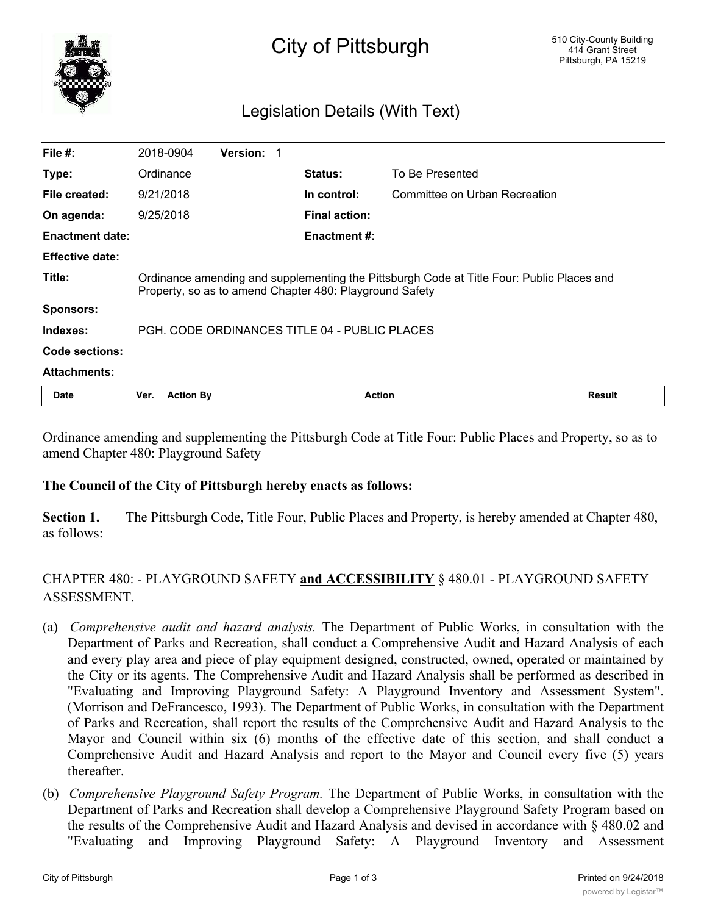

# City of Pittsburgh

## Legislation Details (With Text)

| <b>Date</b>            | Ver.<br><b>Action By</b>                                                                                                                             |                   |  | <b>Action</b>        |                               | <b>Result</b> |
|------------------------|------------------------------------------------------------------------------------------------------------------------------------------------------|-------------------|--|----------------------|-------------------------------|---------------|
| <b>Attachments:</b>    |                                                                                                                                                      |                   |  |                      |                               |               |
| Code sections:         |                                                                                                                                                      |                   |  |                      |                               |               |
| Indexes:               | PGH. CODE ORDINANCES TITLE 04 - PUBLIC PLACES                                                                                                        |                   |  |                      |                               |               |
| <b>Sponsors:</b>       |                                                                                                                                                      |                   |  |                      |                               |               |
| Title:                 | Ordinance amending and supplementing the Pittsburgh Code at Title Four: Public Places and<br>Property, so as to amend Chapter 480: Playground Safety |                   |  |                      |                               |               |
| <b>Effective date:</b> |                                                                                                                                                      |                   |  |                      |                               |               |
| <b>Enactment date:</b> |                                                                                                                                                      |                   |  | <b>Enactment #:</b>  |                               |               |
| On agenda:             | 9/25/2018                                                                                                                                            |                   |  | <b>Final action:</b> |                               |               |
| File created:          | 9/21/2018                                                                                                                                            |                   |  | In control:          | Committee on Urban Recreation |               |
| Type:                  | Ordinance                                                                                                                                            |                   |  | <b>Status:</b>       | To Be Presented               |               |
| File $#$ :             | 2018-0904                                                                                                                                            | <b>Version: 1</b> |  |                      |                               |               |

Ordinance amending and supplementing the Pittsburgh Code at Title Four: Public Places and Property, so as to amend Chapter 480: Playground Safety

#### **The Council of the City of Pittsburgh hereby enacts as follows:**

**Section 1.** The Pittsburgh Code, Title Four, Public Places and Property, is hereby amended at Chapter 480, as follows:

## CHAPTER 480: - PLAYGROUND SAFETY **and ACCESSIBILITY** § 480.01 - PLAYGROUND SAFETY ASSESSMENT.

- (a) *Comprehensive audit and hazard analysis.* The Department of Public Works, in consultation with the Department of Parks and Recreation, shall conduct a Comprehensive Audit and Hazard Analysis of each and every play area and piece of play equipment designed, constructed, owned, operated or maintained by the City or its agents. The Comprehensive Audit and Hazard Analysis shall be performed as described in "Evaluating and Improving Playground Safety: A Playground Inventory and Assessment System". (Morrison and DeFrancesco, 1993). The Department of Public Works, in consultation with the Department of Parks and Recreation, shall report the results of the Comprehensive Audit and Hazard Analysis to the Mayor and Council within six (6) months of the effective date of this section, and shall conduct a Comprehensive Audit and Hazard Analysis and report to the Mayor and Council every five (5) years thereafter.
- (b) *Comprehensive Playground Safety Program.* The Department of Public Works, in consultation with the Department of Parks and Recreation shall develop a Comprehensive Playground Safety Program based on the results of the Comprehensive Audit and Hazard Analysis and devised in accordance with § 480.02 and "Evaluating and Improving Playground Safety: A Playground Inventory and Assessment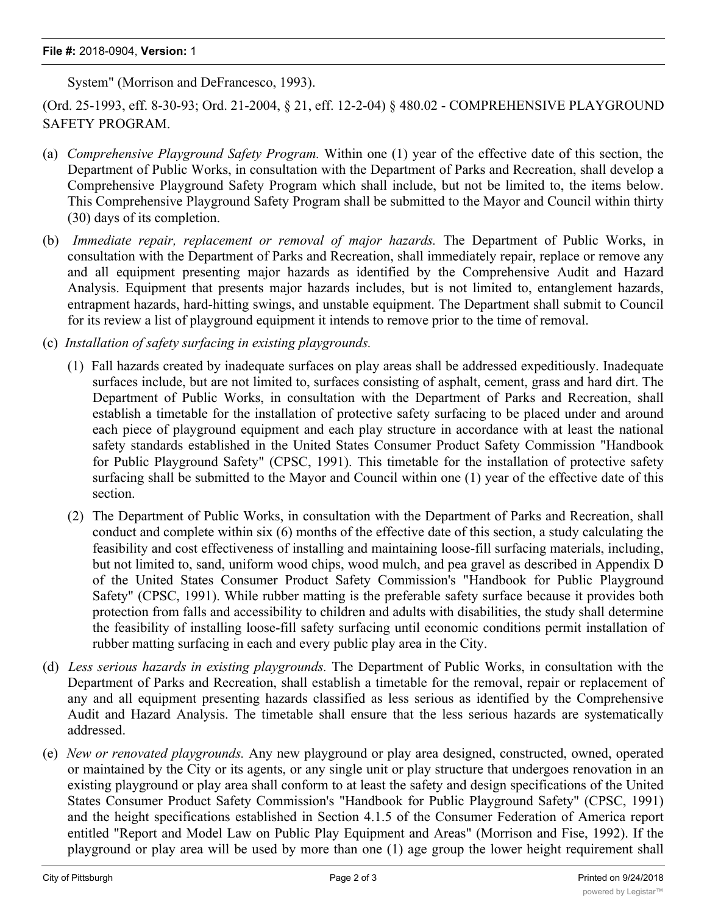#### **File #:** 2018-0904, **Version:** 1

System" (Morrison and DeFrancesco, 1993).

(Ord. 25-1993, eff. 8-30-93; Ord. 21-2004, § 21, eff. 12-2-04) § 480.02 - COMPREHENSIVE PLAYGROUND SAFETY PROGRAM.

- (a) *Comprehensive Playground Safety Program.* Within one (1) year of the effective date of this section, the Department of Public Works, in consultation with the Department of Parks and Recreation, shall develop a Comprehensive Playground Safety Program which shall include, but not be limited to, the items below. This Comprehensive Playground Safety Program shall be submitted to the Mayor and Council within thirty (30) days of its completion.
- (b) *Immediate repair, replacement or removal of major hazards.* The Department of Public Works, in consultation with the Department of Parks and Recreation, shall immediately repair, replace or remove any and all equipment presenting major hazards as identified by the Comprehensive Audit and Hazard Analysis. Equipment that presents major hazards includes, but is not limited to, entanglement hazards, entrapment hazards, hard-hitting swings, and unstable equipment. The Department shall submit to Council for its review a list of playground equipment it intends to remove prior to the time of removal.
- (c) *Installation of safety surfacing in existing playgrounds.*
	- (1) Fall hazards created by inadequate surfaces on play areas shall be addressed expeditiously. Inadequate surfaces include, but are not limited to, surfaces consisting of asphalt, cement, grass and hard dirt. The Department of Public Works, in consultation with the Department of Parks and Recreation, shall establish a timetable for the installation of protective safety surfacing to be placed under and around each piece of playground equipment and each play structure in accordance with at least the national safety standards established in the United States Consumer Product Safety Commission "Handbook for Public Playground Safety" (CPSC, 1991). This timetable for the installation of protective safety surfacing shall be submitted to the Mayor and Council within one (1) year of the effective date of this section.
	- (2) The Department of Public Works, in consultation with the Department of Parks and Recreation, shall conduct and complete within six (6) months of the effective date of this section, a study calculating the feasibility and cost effectiveness of installing and maintaining loose-fill surfacing materials, including, but not limited to, sand, uniform wood chips, wood mulch, and pea gravel as described in Appendix D of the United States Consumer Product Safety Commission's "Handbook for Public Playground Safety" (CPSC, 1991). While rubber matting is the preferable safety surface because it provides both protection from falls and accessibility to children and adults with disabilities, the study shall determine the feasibility of installing loose-fill safety surfacing until economic conditions permit installation of rubber matting surfacing in each and every public play area in the City.
- (d) *Less serious hazards in existing playgrounds.* The Department of Public Works, in consultation with the Department of Parks and Recreation, shall establish a timetable for the removal, repair or replacement of any and all equipment presenting hazards classified as less serious as identified by the Comprehensive Audit and Hazard Analysis. The timetable shall ensure that the less serious hazards are systematically addressed.
- (e) *New or renovated playgrounds.* Any new playground or play area designed, constructed, owned, operated or maintained by the City or its agents, or any single unit or play structure that undergoes renovation in an existing playground or play area shall conform to at least the safety and design specifications of the United States Consumer Product Safety Commission's "Handbook for Public Playground Safety" (CPSC, 1991) and the height specifications established in Section 4.1.5 of the Consumer Federation of America report entitled "Report and Model Law on Public Play Equipment and Areas" (Morrison and Fise, 1992). If the playground or play area will be used by more than one (1) age group the lower height requirement shall